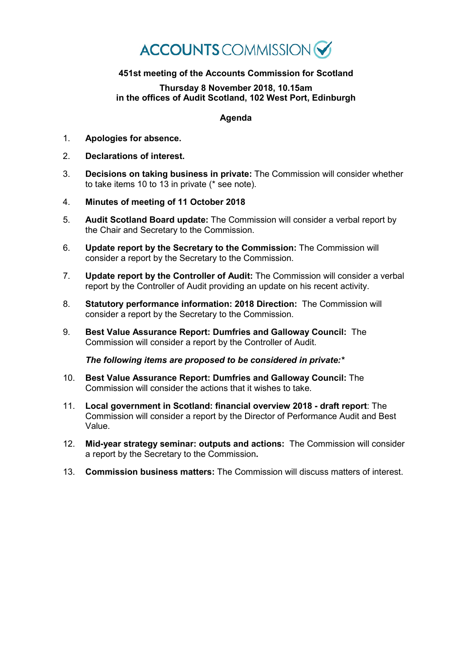## **ACCOUNTS** COMMISSION

## **451st meeting of the Accounts Commission for Scotland**

## **Thursday 8 November 2018, 10.15am in the offices of Audit Scotland, 102 West Port, Edinburgh**

## **Agenda**

- 1. **Apologies for absence.**
- 2. **Declarations of interest.**
- 3. **Decisions on taking business in private:** The Commission will consider whether to take items 10 to 13 in private (\* see note).
- 4. **Minutes of meeting of 11 October 2018**
- 5. **Audit Scotland Board update:** The Commission will consider a verbal report by the Chair and Secretary to the Commission.
- 6. **Update report by the Secretary to the Commission:** The Commission will consider a report by the Secretary to the Commission.
- 7. **Update report by the Controller of Audit:** The Commission will consider a verbal report by the Controller of Audit providing an update on his recent activity.
- 8. **Statutory performance information: 2018 Direction:** The Commission will consider a report by the Secretary to the Commission.
- 9. **Best Value Assurance Report: Dumfries and Galloway Council:** The Commission will consider a report by the Controller of Audit.

*The following items are proposed to be considered in private:\**

- 10. **Best Value Assurance Report: Dumfries and Galloway Council:** The Commission will consider the actions that it wishes to take.
- 11. **Local government in Scotland: financial overview 2018 - draft report**: The Commission will consider a report by the Director of Performance Audit and Best Value.
- 12. **Mid-year strategy seminar: outputs and actions:** The Commission will consider a report by the Secretary to the Commission**.**
- 13. **Commission business matters:** The Commission will discuss matters of interest.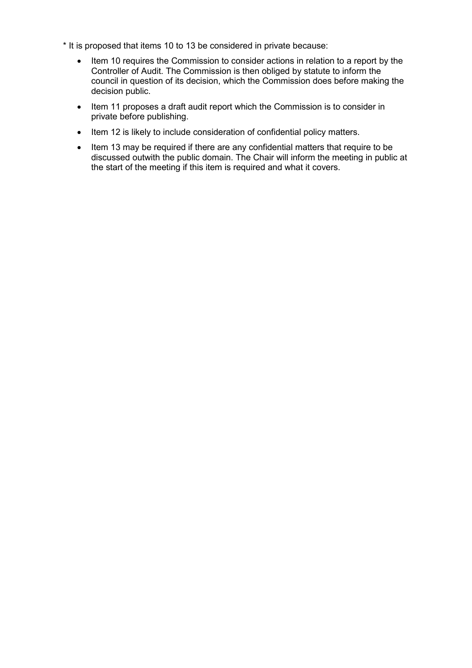- \* It is proposed that items 10 to 13 be considered in private because:
	- Item 10 requires the Commission to consider actions in relation to a report by the Controller of Audit. The Commission is then obliged by statute to inform the council in question of its decision, which the Commission does before making the decision public.
	- Item 11 proposes a draft audit report which the Commission is to consider in private before publishing.
	- Item 12 is likely to include consideration of confidential policy matters.
	- Item 13 may be required if there are any confidential matters that require to be discussed outwith the public domain. The Chair will inform the meeting in public at the start of the meeting if this item is required and what it covers.